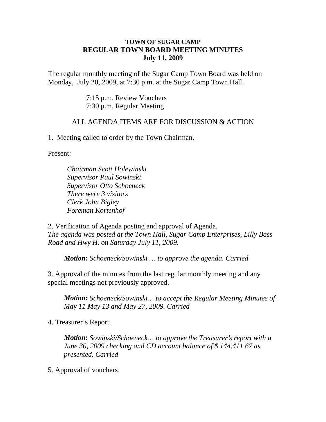## **TOWN OF SUGAR CAMP REGULAR TOWN BOARD MEETING MINUTES July 11, 2009**

The regular monthly meeting of the Sugar Camp Town Board was held on Monday, July 20, 2009, at 7:30 p.m. at the Sugar Camp Town Hall.

> 7:15 p.m. Review Vouchers 7:30 p.m. Regular Meeting

## ALL AGENDA ITEMS ARE FOR DISCUSSION & ACTION

1. Meeting called to order by the Town Chairman.

Present:

*Chairman Scott Holewinski Supervisor Paul Sowinski Supervisor Otto Schoeneck There were 3 visitors Clerk John Bigley Foreman Kortenhof*

2. Verification of Agenda posting and approval of Agenda. *The agenda was posted at the Town Hall, Sugar Camp Enterprises, Lilly Bass Road and Hwy H. on Saturday July 11, 2009.*

*Motion: Schoeneck/Sowinski … to approve the agenda. Carried*

3. Approval of the minutes from the last regular monthly meeting and any special meetings not previously approved.

*Motion: Schoeneck/Sowinski… to accept the Regular Meeting Minutes of May 11 May 13 and May 27, 2009. Carried*

4. Treasurer's Report.

*Motion: Sowinski/Schoeneck… to approve the Treasurer's report with a June 30, 2009 checking and CD account balance of \$ 144,411.67 as presented. Carried*

5. Approval of vouchers.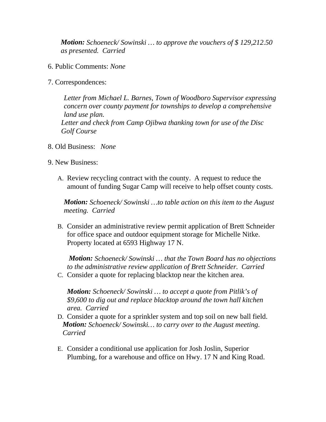*Motion: Schoeneck/ Sowinski … to approve the vouchers of \$ 129,212.50 as presented. Carried*

- 6. Public Comments: *None*
- 7. Correspondences:

*Letter from Michael L. Barnes, Town of Woodboro Supervisor expressing concern over county payment for townships to develop a comprehensive land use plan. Letter and check from Camp Ojibwa thanking town for use of the Disc Golf Course*

- 8. Old Business: *None*
- 9. New Business:
	- A. Review recycling contract with the county. A request to reduce the amount of funding Sugar Camp will receive to help offset county costs.

*Motion: Schoeneck/ Sowinski …to table action on this item to the August meeting. Carried*

B. Consider an administrative review permit application of Brett Schneider for office space and outdoor equipment storage for Michelle Nitke. Property located at 6593 Highway 17 N.

*Motion: Schoeneck/ Sowinski … that the Town Board has no objections to the administrative review application of Brett Schneider. Carried*

C. Consider a quote for replacing blacktop near the kitchen area.

*Motion: Schoeneck/ Sowinski … to accept a quote from Pitlik's of \$9,600 to dig out and replace blacktop around the town hall kitchen area. Carried*

- D. Consider a quote for a sprinkler system and top soil on new ball field. *Motion: Schoeneck/ Sowinski… to carry over to the August meeting. Carried*
- E. Consider a conditional use application for Josh Joslin, Superior Plumbing, for a warehouse and office on Hwy. 17 N and King Road.